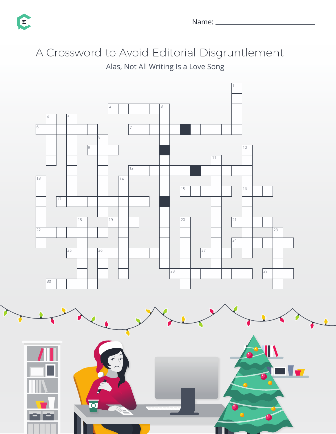

## A Crossword to Avoid Editorial Disgruntlement

## Alas, Not All Writing Is a Love Song